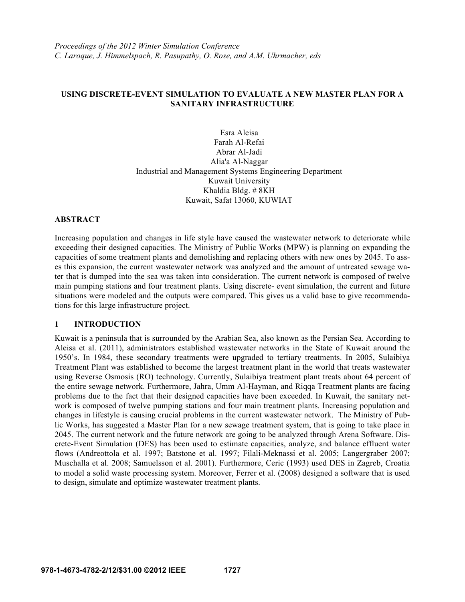# **USING DISCRETE-EVENT SIMULATION TO EVALUATE A NEW MASTER PLAN FOR A SANITARY INFRASTRUCTURE**

Esra Aleisa Farah Al-Refai Abrar Al-Jadi Alia'a Al-Naggar Industrial and Management Systems Engineering Department Kuwait University Khaldia Bldg. # 8KH Kuwait, Safat 13060, KUWIAT

#### **ABSTRACT**

Increasing population and changes in life style have caused the wastewater network to deteriorate while exceeding their designed capacities. The Ministry of Public Works (MPW) is planning on expanding the capacities of some treatment plants and demolishing and replacing others with new ones by 2045. To asses this expansion, the current wastewater network was analyzed and the amount of untreated sewage water that is dumped into the sea was taken into consideration. The current network is composed of twelve main pumping stations and four treatment plants. Using discrete- event simulation, the current and future situations were modeled and the outputs were compared. This gives us a valid base to give recommendations for this large infrastructure project.

# **1 INTRODUCTION**

Kuwait is a peninsula that is surrounded by the Arabian Sea, also known as the Persian Sea. According to Aleisa et al. (2011), administrators established wastewater networks in the State of Kuwait around the 1950's. In 1984, these secondary treatments were upgraded to tertiary treatments. In 2005, Sulaibiya Treatment Plant was established to become the largest treatment plant in the world that treats wastewater using Reverse Osmosis (RO) technology. Currently, Sulaibiya treatment plant treats about 64 percent of the entire sewage network. Furthermore, Jahra, Umm Al-Hayman, and Riqqa Treatment plants are facing problems due to the fact that their designed capacities have been exceeded. In Kuwait, the sanitary network is composed of twelve pumping stations and four main treatment plants. Increasing population and changes in lifestyle is causing crucial problems in the current wastewater network. The Ministry of Public Works, has suggested a Master Plan for a new sewage treatment system, that is going to take place in 2045. The current network and the future network are going to be analyzed through Arena Software. Discrete-Event Simulation (DES) has been used to estimate capacities, analyze, and balance effluent water flows (Andreottola et al. 1997; Batstone et al. 1997; Filali-Meknassi et al. 2005; Langergraber 2007; Muschalla et al. 2008; Samuelsson et al. 2001). Furthermore, Ceric (1993) used DES in Zagreb, Croatia to model a solid waste processing system. Moreover, Ferrer et al. (2008) designed a software that is used to design, simulate and optimize wastewater treatment plants.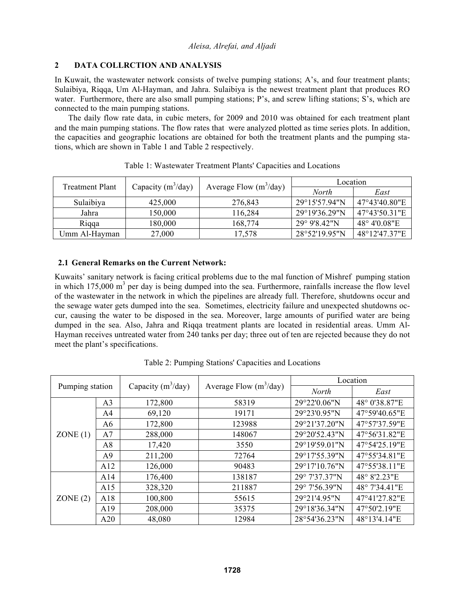# **2 DATA COLLRCTION AND ANALYSIS**

In Kuwait, the wastewater network consists of twelve pumping stations; A's, and four treatment plants; Sulaibiya, Riqqa, Um Al-Hayman, and Jahra. Sulaibiya is the newest treatment plant that produces RO water. Furthermore, there are also small pumping stations; P's, and screw lifting stations; S's, which are connected to the main pumping stations.

 The daily flow rate data, in cubic meters, for 2009 and 2010 was obtained for each treatment plant and the main pumping stations. The flow rates that were analyzed plotted as time series plots. In addition, the capacities and geographic locations are obtained for both the treatment plants and the pumping stations, which are shown in Table 1 and Table 2 respectively.

| <b>Treatment Plant</b> | Capacity $(m^3/day)$     |         | Location                |                       |
|------------------------|--------------------------|---------|-------------------------|-----------------------|
|                        | Average Flow $(m^3/day)$ | North   | East                    |                       |
| Sulaibiya              | 425,000                  | 276,843 | $29^{\circ}15'57.94''N$ | 47°43'40.80"E         |
| Jahra                  | 150,000                  | 116,284 | $29^{\circ}19'36.29''N$ | 47°43'50.31"E         |
| Rigga                  | 180,000                  | 168,774 | 29° 9'8.42"N            | $48^{\circ}$ 4'0.08"E |
| Umm Al-Hayman          | 27,000                   | 17,578  | 28°52'19.95"N           | 48°12'47.37"E         |

Table 1: Wastewater Treatment Plants' Capacities and Locations

# **2.1 General Remarks on the Current Network:**

Kuwaits' sanitary network is facing critical problems due to the mal function of Mishref pumping station in which  $175,000 \text{ m}^3$  per day is being dumped into the sea. Furthermore, rainfalls increase the flow level of the wastewater in the network in which the pipelines are already full. Therefore, shutdowns occur and the sewage water gets dumped into the sea. Sometimes, electricity failure and unexpected shutdowns occur, causing the water to be disposed in the sea. Moreover, large amounts of purified water are being dumped in the sea. Also, Jahra and Riqqa treatment plants are located in residential areas. Umm Al-Hayman receives untreated water from 240 tanks per day; three out of ten are rejected because they do not meet the plant's specifications.

| Pumping station |                |                      |                          | Location      |               |
|-----------------|----------------|----------------------|--------------------------|---------------|---------------|
|                 |                | Capacity $(m^3/day)$ | Average Flow $(m^3/day)$ | <b>North</b>  | East          |
|                 | A <sub>3</sub> | 172,800              | 58319                    | 29°22'0.06"N  | 48° 0'38.87"E |
|                 | A4             | 69,120               | 19171                    | 29°23'0.95"N  | 47°59'40.65"E |
|                 | A6             | 172,800              | 123988                   | 29°21'37.20"N | 47°57'37.59"E |
| ZONE(1)         | A7             | 288,000              | 148067                   | 29°20'52.43"N | 47°56'31.82"E |
|                 | A8             | 17,420               | 3550                     | 29°19'59.01"N | 47°54'25.19"E |
|                 | A <sup>9</sup> | 211,200              | 72764                    | 29°17'55.39"N | 47°55'34.81"E |
|                 | A12            | 126,000              | 90483                    | 29°17'10.76"N | 47°55'38.11"E |
|                 | A14            | 176,400              | 138187                   | 29° 7'37.37"N | 48° 8'2.23"E  |
|                 | A15            | 328,320              | 211887                   | 29° 7'56.39"N | 48° 7'34.41"E |
| ZONE(2)         | A18            | 100,800              | 55615                    | 29°21'4.95"N  | 47°41'27.82"E |
|                 | A19            | 208,000              | 35375                    | 29°18'36.34"N | 47°50'2.19"E  |
|                 | A20            | 48,080               | 12984                    | 28°54'36.23"N | 48°13'4.14"E  |

Table 2: Pumping Stations' Capacities and Locations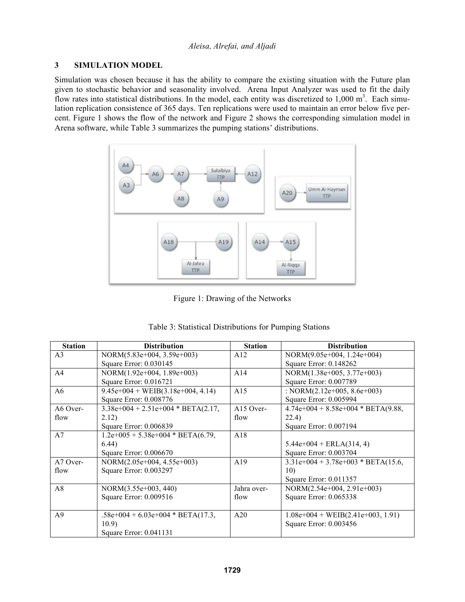# **3 SIMULATION MODEL**

Simulation was chosen because it has the ability to compare the existing situation with the Future plan given to stochastic behavior and seasonality involved. Arena Input Analyzer was used to fit the daily flow rates into statistical distributions. In the model, each entity was discretized to  $1,000 \text{ m}^3$ . Each simulation replication consistence of 365 days. Ten replications were used to maintain an error below five percent. Figure 1 shows the flow of the network and Figure 2 shows the corresponding simulation model in Arena software, while Table 3 summarizes the pumping stations' distributions.



Figure 1: Drawing of the Networks

| <b>Station</b> | <b>Distribution</b>                  | <b>Station</b> | <b>Distribution</b>                  |
|----------------|--------------------------------------|----------------|--------------------------------------|
| A <sub>3</sub> | NORM(5.83e+004, 3.59e+003)           | A12            | NORM(9.05e+004, 1.24e+004)           |
|                | Square Error: 0.030145               |                | Square Error: 0.148262               |
| A <sub>4</sub> | NORM(1.92e+004, 1.89e+003)           | A14            | NORM(1.38e+005, 3.77e+003)           |
|                | Square Error: 0.016721               |                | Square Error: 0.007789               |
| A6             | $9.45e+004 + WEIB(3.18e+004, 4.14)$  | A15            | : NORM $(2.12e+005, 8.6e+003)$       |
|                | Square Error: 0.008776               |                | Square Error: 0.005994               |
| A6 Over-       | $3.38e+004 + 2.51e+004 * BETA(2.17,$ | $A15$ Over-    | $4.74e+004 + 8.58e+004 * BETA(9.88,$ |
| flow           | 2.12)                                | flow           | 22.4)                                |
|                | Square Error: 0.006839               |                | Square Error: 0.007194               |
| A7             | $1.2e+005 + 5.38e+004 * BETA(6.79)$  | A18            |                                      |
|                | 6.44)                                |                | $5.44e+004 + ERLA(314, 4)$           |
|                | Square Error: 0.006670               |                | Square Error: 0.003704               |
| $A7$ Over-     | NORM(2.05e+004, 4.55e+003)           | A19            | $3.31e+004 + 3.78e+003 * BETA(15.6,$ |
| flow           | Square Error: 0.003297               |                | 10)                                  |
|                |                                      |                | Square Error: 0.011357               |
| A8             | NORM(3.55e+003, 440)                 | Jahra over-    | NORM(2.54e+004, 2.91e+003)           |
|                | Square Error: 0.009516               | flow           | Square Error: 0.065338               |
|                |                                      |                |                                      |
| A <sup>9</sup> | $.58e+004 + 6.03e+004 * BETA(17.3)$  | A20            | $1.08e+004 + WEIB(2.41e+003, 1.91)$  |
|                | 10.9)                                |                | Square Error: 0.003456               |
|                | Square Error: 0.041131               |                |                                      |

|  | Table 3: Statistical Distributions for Pumping Stations |  |  |
|--|---------------------------------------------------------|--|--|
|  |                                                         |  |  |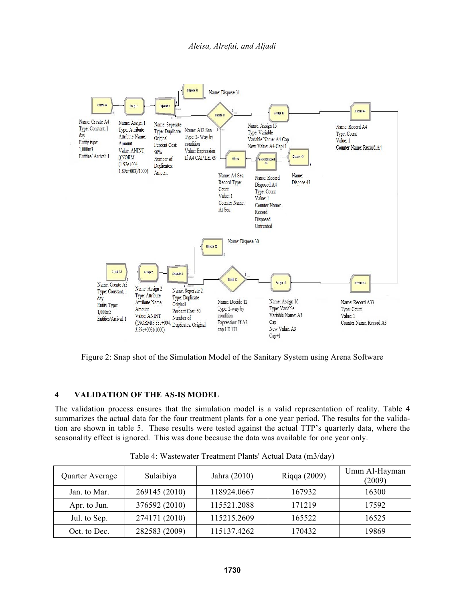

Figure 2: Snap shot of the Simulation Model of the Sanitary System using Arena Software

# **4 VALIDATION OF THE AS-IS MODEL**

The validation process ensures that the simulation model is a valid representation of reality. Table 4 summarizes the actual data for the four treatment plants for a one year period. The results for the validation are shown in table 5. These results were tested against the actual TTP's quarterly data, where the seasonality effect is ignored. This was done because the data was available for one year only.

| Quarter Average | Sulaibiya     | Jahra (2010) | Riqqa (2009) | Umm Al-Hayman<br>(2009) |
|-----------------|---------------|--------------|--------------|-------------------------|
| Jan. to Mar.    | 269145 (2010) | 118924.0667  | 167932       | 16300                   |
| Apr. to Jun.    | 376592 (2010) | 115521.2088  | 171219       | 17592                   |
| Jul. to Sep.    | 274171 (2010) | 115215.2609  | 165522       | 16525                   |
| Oct. to Dec.    | 282583 (2009) | 115137.4262  | 170432       | 19869                   |

Table 4: Wastewater Treatment Plants' Actual Data (m3/day)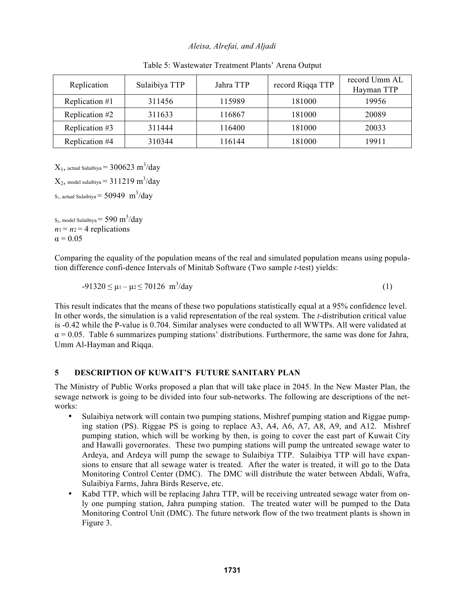| Replication    | Sulaibiya TTP | Jahra TTP | record Riqqa TTP | record Umm AL<br>Hayman TTP |
|----------------|---------------|-----------|------------------|-----------------------------|
| Replication #1 | 311456        | 115989    | 181000           | 19956                       |
| Replication #2 | 311633        | 116867    | 181000           | 20089                       |
| Replication #3 | 311444        | 116400    | 181000           | 20033                       |
| Replication #4 | 310344        | 116144    | 181000           | 19911                       |

Table 5: Wastewater Treatment Plants' Arena Output

 $X_1$ , actual Sulaibiya =  $300623 \text{ m}^3/\text{day}$ 

 $\mathrm{X}_2$ , model sulaibiya =  $311219\ \mathrm{m}^3/\mathrm{day}$ S<sub>1</sub>, actual Sulaibiya  $= 50949 \text{ m}^3/\text{day}$ 

S<sub>2</sub>, model Sulaibiya = 590 m<sup>3</sup>/day  $n_1 = n_2 = 4$  replications  $\alpha$  = 0.05

Comparing the equality of the population means of the real and simulated population means using population difference confi-dence Intervals of Minitab Software (Two sample *t*-test) yields:

$$
-91320 \le \mu_1 - \mu_2 \le 70126 \, \text{m}^3/\text{day} \tag{1}
$$

This result indicates that the means of these two populations statistically equal at a 95% confidence level. In other words, the simulation is a valid representation of the real system. The *t*-distribution critical value is -0.42 while the P-value is 0.704. Similar analyses were conducted to all WWTPs. All were validated at  $\alpha$  = 0.05. Table 6 summarizes pumping stations' distributions. Furthermore, the same was done for Jahra, Umm Al-Hayman and Riqqa.

# **5 DESCRIPTION OF KUWAIT'S FUTURE SANITARY PLAN**

The Ministry of Public Works proposed a plan that will take place in 2045. In the New Master Plan, the sewage network is going to be divided into four sub-networks. The following are descriptions of the networks:

- Sulaibiya network will contain two pumping stations, Mishref pumping station and Riggae pumping station (PS). Riggae PS is going to replace A3, A4, A6, A7, A8, A9, and A12. Mishref pumping station, which will be working by then, is going to cover the east part of Kuwait City and Hawalli governorates. These two pumping stations will pump the untreated sewage water to Ardeya, and Ardeya will pump the sewage to Sulaibiya TTP. Sulaibiya TTP will have expansions to ensure that all sewage water is treated. After the water is treated, it will go to the Data Monitoring Control Center (DMC). The DMC will distribute the water between Abdali, Wafra, Sulaibiya Farms, Jahra Birds Reserve, etc.
- Kabd TTP, which will be replacing Jahra TTP, will be receiving untreated sewage water from only one pumping station, Jahra pumping station. The treated water will be pumped to the Data Monitoring Control Unit (DMC). The future network flow of the two treatment plants is shown in Figure 3.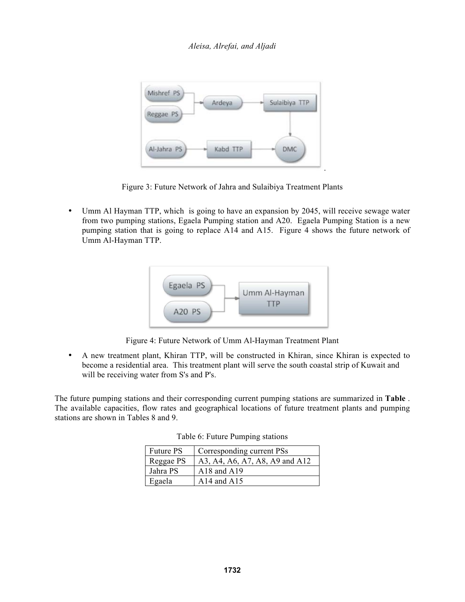

Figure 3: Future Network of Jahra and Sulaibiya Treatment Plants

• Umm Al Hayman TTP, which is going to have an expansion by 2045, will receive sewage water from two pumping stations, Egaela Pumping station and A20. Egaela Pumping Station is a new pumping station that is going to replace A14 and A15. Figure 4 shows the future network of Umm Al-Hayman TTP.



Figure 4: Future Network of Umm Al-Hayman Treatment Plant

• A new treatment plant, Khiran TTP, will be constructed in Khiran, since Khiran is expected to become a residential area. This treatment plant will serve the south coastal strip of Kuwait and will be receiving water from S's and P's.

The future pumping stations and their corresponding current pumping stations are summarized in **Table** . The available capacities, flow rates and geographical locations of future treatment plants and pumping stations are shown in Tables 8 and 9.

| <b>Future PS</b> | Corresponding current PSs      |
|------------------|--------------------------------|
| Reggae PS        | A3, A4, A6, A7, A8, A9 and A12 |
| Jahra PS         | A18 and A19                    |
| Egaela           | A14 and A15                    |

| Table 6: Future Pumping stations |  |  |  |
|----------------------------------|--|--|--|
|----------------------------------|--|--|--|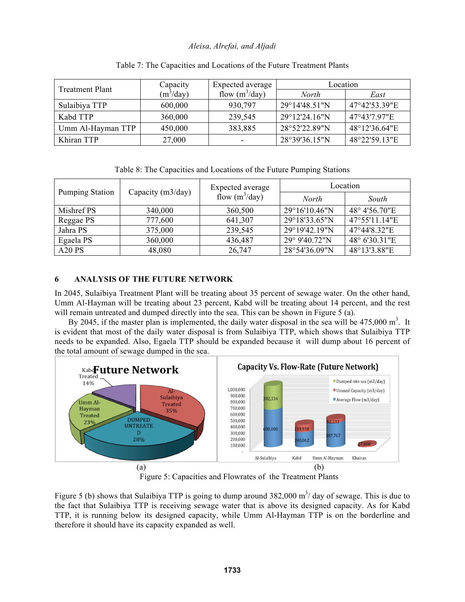| <b>Treatment Plant</b> | Capacity    | Expected average | Location                |               |
|------------------------|-------------|------------------|-------------------------|---------------|
|                        | $(m^3/day)$ | flow $(m^3/day)$ | <b>North</b>            | East          |
| Sulaibiya TTP          | 600,000     | 930,797          | 29°14'48.51"N           | 47°42'53.39"E |
| Kabd TTP               | 360,000     | 239,545          | $29^{\circ}12'24.16''N$ | 47°43'7.97"E  |
| Umm Al-Hayman TTP      | 450,000     | 383,885          | 28°52'22.89"N           | 48°12'36.64"E |
| Khiran TTP             | 27,000      | -                | 28°39'36.15"N           | 48°22'59.13"E |

#### Table 7: The Capacities and Locations of the Future Treatment Plants

Table 8: The Capacities and Locations of the Future Pumping Stations

| <b>Pumping Station</b>         | Capacity (m3/day) | Expected average<br>flow $(m^3/day)$ | Location                |               |
|--------------------------------|-------------------|--------------------------------------|-------------------------|---------------|
|                                |                   |                                      | <b>North</b>            | South         |
| Mishref PS                     | 340,000           | 360,500                              | $29^{\circ}16'10.46''N$ | 48° 4'56.70"E |
| Reggae PS                      | 777,600           | 641,307                              | 29°18'33.65"N           | 47°55'11.14"E |
| Jahra PS                       | 375,000           | 239,545                              | $29^{\circ}19'42.19''N$ | 47°44'8.32"E  |
| Egaela PS                      | 360,000           | 436,487                              | 29° 9'40.72"N           | 48° 6'30.31"E |
| A <sub>20</sub> P <sub>S</sub> | 48,080            | 26,747                               | 28°54'36.09"N           | 48°13'3.88"E  |

# **6 ANALYSIS OF THE FUTURE NETWORK**

In 2045, Sulaibiya Treatment Plant will be treating about 35 percent of sewage water. On the other hand, Umm Al-Hayman will be treating about 23 percent, Kabd will be treating about 14 percent, and the rest will remain untreated and dumped directly into the sea. This can be shown in Figure 5 (a).

By 2045, if the master plan is implemented, the daily water disposal in the sea will be  $475,000 \text{ m}^3$ . It is evident that most of the daily water disposal is from Sulaibiya TTP, which shows that Sulaibiya TTP needs to be expanded. Also, Egaela TTP should be expanded because it will dump about 16 percent of the total amount of sewage dumped in the sea.



Figure 5: Capacities and Flowrates of the Treatment Plants

Figure 5 (b) shows that Sulaibiya TTP is going to dump around  $382,000 \text{ m}^3$  day of sewage. This is due to the fact that Sulaibiya TTP is receiving sewage water that is above its designed capacity. As for Kabd TTP, it is running below its designed capacity, while Umm Al-Hayman TTP is on the borderline and therefore it should have its capacity expanded as well.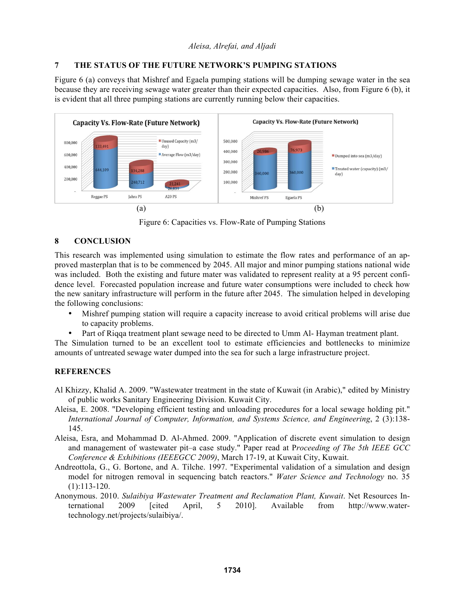# **7 THE STATUS OF THE FUTURE NETWORK'S PUMPING STATIONS**

Figure 6 (a) conveys that Mishref and Egaela pumping stations will be dumping sewage water in the sea because they are receiving sewage water greater than their expected capacities. Also, from Figure 6 (b), it is evident that all three pumping stations are currently running below their capacities.



Figure 6: Capacities vs. Flow-Rate of Pumping Stations

# **8 CONCLUSION**

This research was implemented using simulation to estimate the flow rates and performance of an approved masterplan that is to be commenced by 2045. All major and minor pumping stations national wide was included. Both the existing and future mater was validated to represent reality at a 95 percent confidence level. Forecasted population increase and future water consumptions were included to check how the new sanitary infrastructure will perform in the future after 2045. The simulation helped in developing the following conclusions:

- Mishref pumping station will require a capacity increase to avoid critical problems will arise due to capacity problems.
- Part of Riqqa treatment plant sewage need to be directed to Umm Al- Hayman treatment plant.

The Simulation turned to be an excellent tool to estimate efficiencies and bottlenecks to minimize amounts of untreated sewage water dumped into the sea for such a large infrastructure project.

# **REFERENCES**

- Al Khizzy, Khalid A. 2009. "Wastewater treatment in the state of Kuwait (in Arabic)," edited by Ministry of public works Sanitary Engineering Division. Kuwait City.
- Aleisa, E. 2008. "Developing efficient testing and unloading procedures for a local sewage holding pit." *International Journal of Computer, Information, and Systems Science, and Engineering*, 2 (3):138- 145.
- Aleisa, Esra, and Mohammad D. Al-Ahmed. 2009. "Application of discrete event simulation to design and management of wastewater pit–a case study." Paper read at P*roceeding of The 5th IEEE GCC Conference & Exhibitions (IEEEGCC 2009)*, March 17-19, at Kuwait City, Kuwait.
- Andreottola, G., G. Bortone, and A. Tilche. 1997. "Experimental validation of a simulation and design model for nitrogen removal in sequencing batch reactors." *Water Science and Technology* no. 35 (1):113-120.
- Anonymous. 2010. *Sulaibiya Wastewater Treatment and Reclamation Plant, Kuwait*. Net Resources International 2009 [cited April, 5 2010]. Available from http://www.watertechnology.net/projects/sulaibiya/.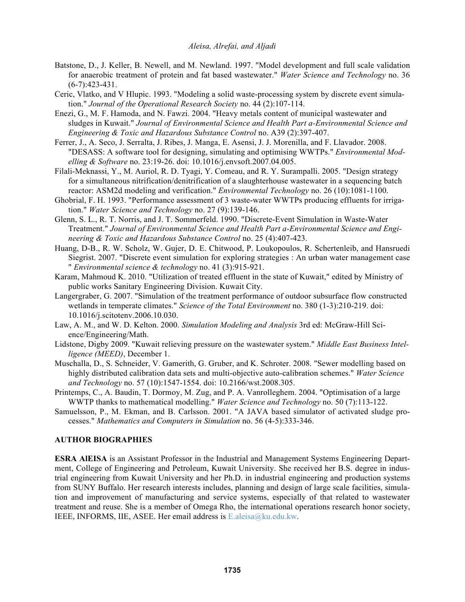- Batstone, D., J. Keller, B. Newell, and M. Newland. 1997. "Model development and full scale validation for anaerobic treatment of protein and fat based wastewater." *Water Science and Technology* no. 36 (6-7):423-431.
- Ceric, Vlatko, and V Hlupic. 1993. "Modeling a solid waste-processing system by discrete event simulation." *Journal of the Operational Research Society* no. 44 (2):107-114.
- Enezi, G., M. F. Hamoda, and N. Fawzi. 2004. "Heavy metals content of municipal wastewater and sludges in Kuwait." *Journal of Environmental Science and Health Part a-Environmental Science and Engineering & Toxic and Hazardous Substance Control* no. A39 (2):397-407.
- Ferrer, J., A. Seco, J. Serralta, J. Ribes, J. Manga, E. Asensi, J. J. Morenilla, and F. Llavador. 2008. "DESASS: A software tool for designing, simulating and optimising WWTPs." *Environmental Modelling & Software* no. 23:19-26. doi: 10.1016/j.envsoft.2007.04.005.
- Filali-Meknassi, Y., M. Auriol, R. D. Tyagi, Y. Comeau, and R. Y. Surampalli. 2005. "Design strategy for a simultaneous nitrification/denitrification of a slaughterhouse wastewater in a sequencing batch reactor: ASM2d modeling and verification." *Environmental Technology* no. 26 (10):1081-1100.
- Ghobrial, F. H. 1993. "Performance assessment of 3 waste-water WWTPs producing effluents for irrigation." *Water Science and Technology* no. 27 (9):139-146.
- Glenn, S. L., R. T. Norris, and J. T. Sommerfeld. 1990. "Discrete-Event Simulation in Waste-Water Treatment." *Journal of Environmental Science and Health Part a-Environmental Science and Engineering & Toxic and Hazardous Substance Control* no. 25 (4):407-423.
- Huang, D-B., R. W. Scholz, W. Gujer, D. E. Chitwood, P. Loukopoulos, R. Schertenleib, and Hansruedi Siegrist. 2007. "Discrete event simulation for exploring strategies : An urban water management case " *Environmental science & technology* no. 41 (3):915-921.
- Karam, Mahmoud K. 2010. "Utilization of treated effluent in the state of Kuwait," edited by Ministry of public works Sanitary Engineering Division. Kuwait City.
- Langergraber, G. 2007. "Simulation of the treatment performance of outdoor subsurface flow constructed wetlands in temperate climates." *Science of the Total Environment* no. 380 (1-3):210-219. doi: 10.1016/j.scitotenv.2006.10.030.
- Law, A. M., and W. D. Kelton. 2000. *Simulation Modeling and Analysis* 3rd ed: McGraw-Hill Science/Engineering/Math.
- Lidstone, Digby 2009. "Kuwait relieving pressure on the wastewater system." *Middle East Business Intelligence (MEED)*, December 1.
- Muschalla, D., S. Schneider, V. Gamerith, G. Gruber, and K. Schroter. 2008. "Sewer modelling based on highly distributed calibration data sets and multi-objective auto-calibration schemes." *Water Science and Technology* no. 57 (10):1547-1554. doi: 10.2166/wst.2008.305.
- Printemps, C., A. Baudin, T. Dormoy, M. Zug, and P. A. Vanrolleghem. 2004. "Optimisation of a large WWTP thanks to mathematical modelling." *Water Science and Technology* no. 50 (7):113-122.
- Samuelsson, P., M. Ekman, and B. Carlsson. 2001. "A JAVA based simulator of activated sludge processes." *Mathematics and Computers in Simulation* no. 56 (4-5):333-346.

# **AUTHOR BIOGRAPHIES**

**ESRA AlEISA** is an Assistant Professor in the Industrial and Management Systems Engineering Department, College of Engineering and Petroleum, Kuwait University. She received her B.S. degree in industrial engineering from Kuwait University and her Ph.D. in industrial engineering and production systems from SUNY Buffalo. Her research interests includes, planning and design of large scale facilities, simulation and improvement of manufacturing and service systems, especially of that related to wastewater treatment and reuse. She is a member of Omega Rho, the international operations research honor society, IEEE, INFORMS, IIE, ASEE. Her email address is E.aleisa@ku.edu.kw.